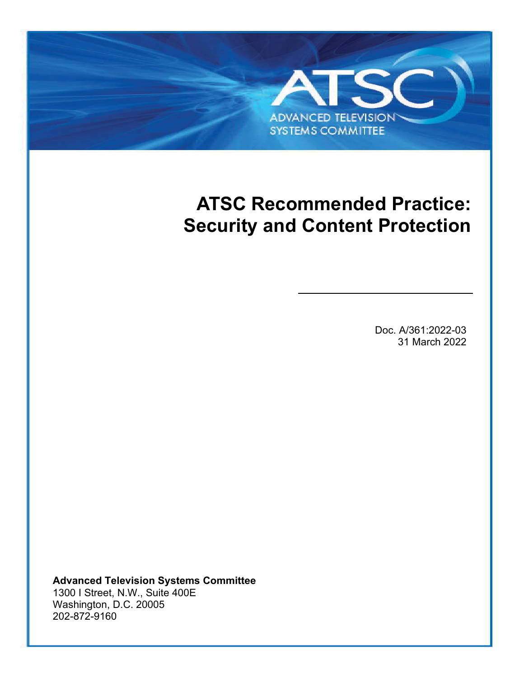# **ATSC Recommended Practice: Security and Content Protection**

**ADVANCED TELEVISION SYSTEMS COMMITTEE** 

ATSC A/361:2022-03 Security and Content Protection 31 March 2022-03 Security and Content Protection 31 March 20

Doc. A/361:2022-03 31 March 2022

**Advanced Television Systems Committee** 1300 I Street, N.W., Suite 400E Washington, D.C. 20005 202-872-9160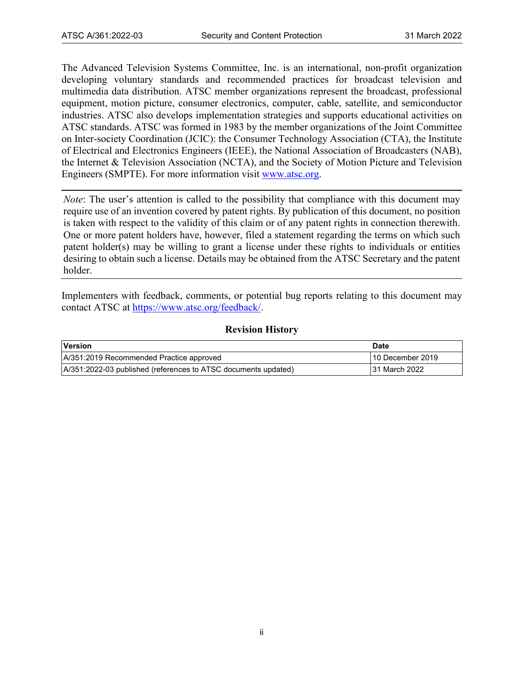The Advanced Television Systems Committee, Inc. is an international, non-profit organization developing voluntary standards and recommended practices for broadcast television and multimedia data distribution. ATSC member organizations represent the broadcast, professional equipment, motion picture, consumer electronics, computer, cable, satellite, and semiconductor industries. ATSC also develops implementation strategies and supports educational activities on ATSC standards. ATSC was formed in 1983 by the member organizations of the Joint Committee on Inter-society Coordination (JCIC): the Consumer Technology Association (CTA), the Institute of Electrical and Electronics Engineers (IEEE), the National Association of Broadcasters (NAB), the Internet & Television Association (NCTA), and the Society of Motion Picture and Television Engineers (SMPTE). For more information visit [www.atsc.org.](http://www.atsc.org/)

*Note*: The user's attention is called to the possibility that compliance with this document may require use of an invention covered by patent rights. By publication of this document, no position is taken with respect to the validity of this claim or of any patent rights in connection therewith. One or more patent holders have, however, filed a statement regarding the terms on which such patent holder(s) may be willing to grant a license under these rights to individuals or entities desiring to obtain such a license. Details may be obtained from the ATSC Secretary and the patent holder.

Implementers with feedback, comments, or potential bug reports relating to this document may contact ATSC at [https://www.atsc.org/feedback/.](https://www.atsc.org/feedback/)

# **Revision History**

| Version                                                        | <b>Date</b>      |
|----------------------------------------------------------------|------------------|
| A/351:2019 Recommended Practice approved                       | 10 December 2019 |
| A/351:2022-03 published (references to ATSC documents updated) | 31 March 2022    |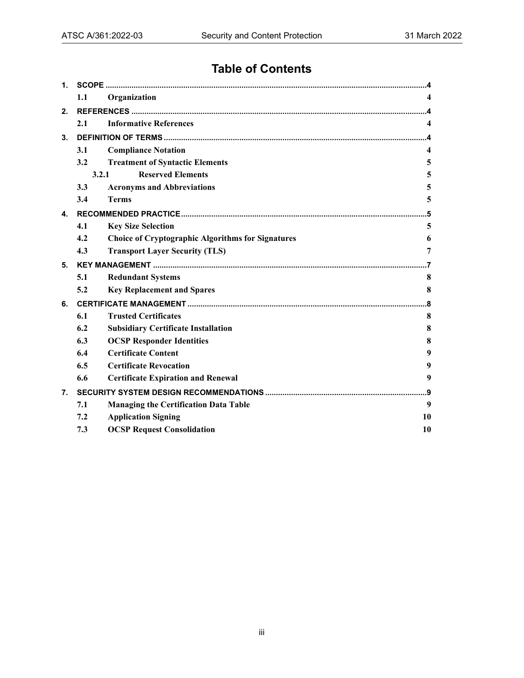# **Table of Contents**

| 1. |       |                                                          |     |  |
|----|-------|----------------------------------------------------------|-----|--|
|    | 1.1   | Organization                                             |     |  |
| 2. |       |                                                          |     |  |
|    | 2.1   | <b>Informative References</b>                            | 4   |  |
| 3. |       |                                                          |     |  |
|    | 3.1   | <b>Compliance Notation</b>                               | 4   |  |
|    | 3.2   | <b>Treatment of Syntactic Elements</b>                   | 5   |  |
|    | 3.2.1 | <b>Reserved Elements</b>                                 | 5   |  |
|    | 3.3   | <b>Acronyms and Abbreviations</b>                        | 5   |  |
|    | 3.4   | <b>Terms</b>                                             | 5   |  |
| 4. |       |                                                          | .5  |  |
|    | 4.1   | <b>Key Size Selection</b>                                | 5   |  |
|    | 4.2   | <b>Choice of Cryptographic Algorithms for Signatures</b> | 6   |  |
|    | 4.3   | <b>Transport Layer Security (TLS)</b>                    | 7   |  |
| 5. |       |                                                          |     |  |
|    | 5.1   | <b>Redundant Systems</b>                                 | 8   |  |
|    | 5.2   | <b>Key Replacement and Spares</b>                        | 8   |  |
| 6. |       |                                                          | 8   |  |
|    | 6.1   | <b>Trusted Certificates</b>                              | 8   |  |
|    | 6.2   | <b>Subsidiary Certificate Installation</b>               | 8   |  |
|    | 6.3   | <b>OCSP Responder Identities</b>                         | 8   |  |
|    | 6.4   | <b>Certificate Content</b>                               | 9   |  |
|    | 6.5   | <b>Certificate Revocation</b>                            | 9   |  |
|    | 6.6   | <b>Certificate Expiration and Renewal</b>                | 9   |  |
| 7. |       |                                                          | . 9 |  |
|    | 7.1   | <b>Managing the Certification Data Table</b>             | 9   |  |
|    | 7.2   | <b>Application Signing</b>                               | 10  |  |
|    | 7.3   | <b>OCSP Request Consolidation</b>                        | 10  |  |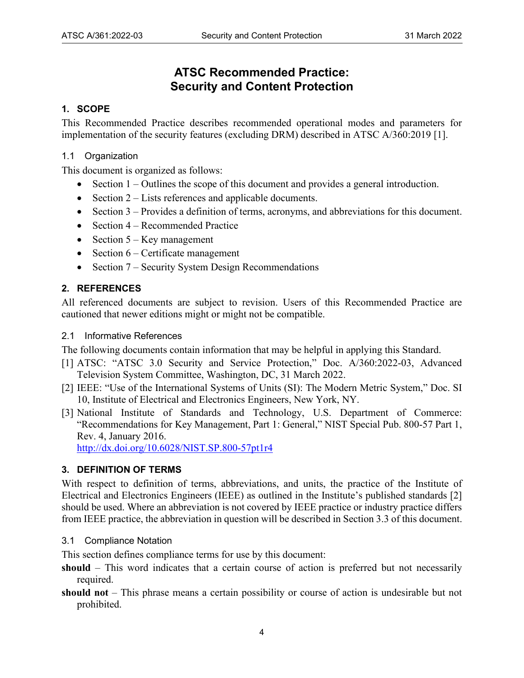# **ATSC Recommended Practice: Security and Content Protection**

# <span id="page-3-0"></span>**1. SCOPE**

This Recommended Practice describes recommended operational modes and parameters for implementation of the security features (excluding DRM) described in ATSC A/360:2019 [\[1\].](#page-3-6)

# <span id="page-3-1"></span>1.1 Organization

This document is organized as follows:

- Section [1](#page-3-0)  Outlines the scope of this document and provides a general introduction.
- Section [2](#page-3-2)  Lists references and applicable documents.
- Section [3](#page-3-4)  Provides a definition of terms, acronyms, and abbreviations for this document.
- Section [4](#page-4-4)  Recommended Practice
- Section  $5 \text{Key management}$
- Section [6](#page-7-2)  Certificate management
- Section [7](#page-8-3)  Security System Design Recommendations

# <span id="page-3-2"></span>**2. REFERENCES**

All referenced documents are subject to revision. Users of this Recommended Practice are cautioned that newer editions might or might not be compatible.

#### <span id="page-3-3"></span>2.1 Informative References

The following documents contain information that may be helpful in applying this Standard.

- <span id="page-3-6"></span>[1] ATSC: "ATSC 3.0 Security and Service Protection," Doc. A/360:2022-03, Advanced Television System Committee, Washington, DC, 31 March 2022.
- [2] IEEE: "Use of the International Systems of Units (SI): The Modern Metric System," Doc. SI 10, Institute of Electrical and Electronics Engineers, New York, NY.
- <span id="page-3-7"></span>[3] National Institute of Standards and Technology, U.S. Department of Commerce: "Recommendations for Key Management, Part 1: General," NIST Special Pub. 800-57 Part 1, Rev. 4, January 2016.

<http://dx.doi.org/10.6028/NIST.SP.800-57pt1r4>

# <span id="page-3-4"></span>**3. DEFINITION OF TERMS**

With respect to definition of terms, abbreviations, and units, the practice of the Institute of Electrical and Electronics Engineers (IEEE) as outlined in the Institute's published standards [2] should be used. Where an abbreviation is not covered by IEEE practice or industry practice differs from IEEE practice, the abbreviation in question will be described in Sectio[n 3.3](#page-4-2) of this document.

<span id="page-3-5"></span>3.1 Compliance Notation

This section defines compliance terms for use by this document:

- **should** This word indicates that a certain course of action is preferred but not necessarily required.
- **should not** This phrase means a certain possibility or course of action is undesirable but not prohibited.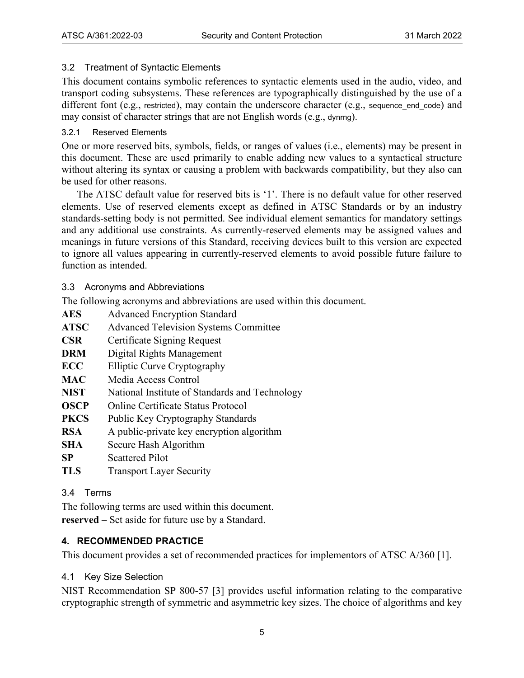# <span id="page-4-0"></span>3.2 Treatment of Syntactic Elements

This document contains symbolic references to syntactic elements used in the audio, video, and transport coding subsystems. These references are typographically distinguished by the use of a different font (e.g., restricted), may contain the underscore character (e.g., sequence end code) and may consist of character strings that are not English words (e.g., dynrng).

# <span id="page-4-1"></span>3.2.1 Reserved Elements

One or more reserved bits, symbols, fields, or ranges of values (i.e., elements) may be present in this document. These are used primarily to enable adding new values to a syntactical structure without altering its syntax or causing a problem with backwards compatibility, but they also can be used for other reasons.

The ATSC default value for reserved bits is '1'. There is no default value for other reserved elements. Use of reserved elements except as defined in ATSC Standards or by an industry standards-setting body is not permitted. See individual element semantics for mandatory settings and any additional use constraints. As currently-reserved elements may be assigned values and meanings in future versions of this Standard, receiving devices built to this version are expected to ignore all values appearing in currently-reserved elements to avoid possible future failure to function as intended.

<span id="page-4-2"></span>3.3 Acronyms and Abbreviations

The following acronyms and abbreviations are used within this document.

- **AES** Advanced Encryption Standard
- **ATSC** Advanced Television Systems Committee
- **CSR** Certificate Signing Request
- **DRM** Digital Rights Management
- **ECC** Elliptic Curve Cryptography
- MAC Media Access Control
- **NIST** National Institute of Standards and Technology
- **OSCP** Online Certificate Status Protocol
- **PKCS** Public Key Cryptography Standards
- **RSA** A public-private key encryption algorithm
- **SHA** Secure Hash Algorithm
- **SP** Scattered Pilot
- **TLS** Transport Layer Security

# <span id="page-4-3"></span>3.4 Terms

The following terms are used within this document.

**reserved** – Set aside for future use by a Standard.

# <span id="page-4-4"></span>**4. RECOMMENDED PRACTICE**

This document provides a set of recommended practices for implementors of ATSC A/360 [\[1\].](#page-3-6)

# <span id="page-4-5"></span>4.1 Key Size Selection

NIST Recommendation SP 800-57 [\[3\]](#page-3-7) provides useful information relating to the comparative cryptographic strength of symmetric and asymmetric key sizes. The choice of algorithms and key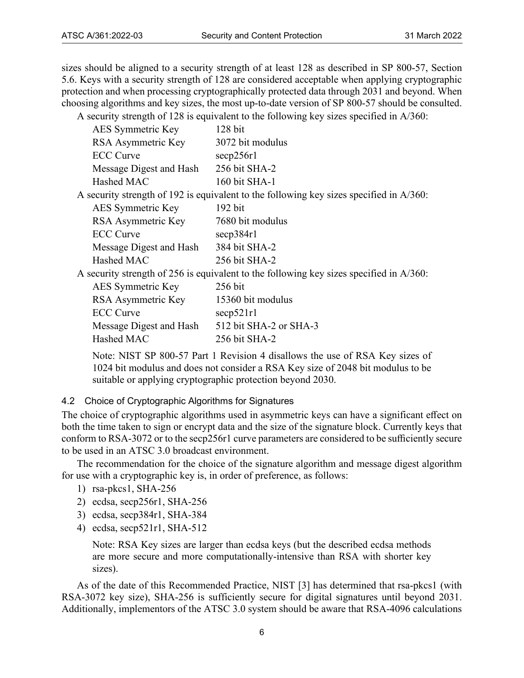sizes should be aligned to a security strength of at least 128 as described in SP 800-57, Section 5.6. Keys with a security strength of 128 are considered acceptable when applying cryptographic protection and when processing cryptographically protected data through 2031 and beyond. When choosing algorithms and key sizes, the most up-to-date version of SP 800-57 should be consulted.

A security strength of 128 is equivalent to the following key sizes specified in A/360:

| AES Symmetric Key       | $128$ bit                                                                                  |
|-------------------------|--------------------------------------------------------------------------------------------|
| RSA Asymmetric Key      | 3072 bit modulus                                                                           |
| <b>ECC</b> Curve        | $\secp256r1$                                                                               |
| Message Digest and Hash | 256 bit SHA-2                                                                              |
| Hashed MAC              | 160 bit SHA-1                                                                              |
|                         | A security strength of 192 is equivalent to the following key sizes specified in $A/360$ : |
| AES Symmetric Key       | $192 \text{ bit}$                                                                          |
| RSA Asymmetric Key      | 7680 bit modulus                                                                           |
| <b>ECC</b> Curve        | $\secp384r1$                                                                               |
| Message Digest and Hash | 384 bit SHA-2                                                                              |
| Hashed MAC              | 256 bit SHA-2                                                                              |
|                         | A security strength of 256 is equivalent to the following key sizes specified in $A/360$ : |
| AES Symmetric Key       | 256 bit                                                                                    |
| RSA Asymmetric Key      | 15360 bit modulus                                                                          |

| RSA Asymmetric Key      | 15360 bit modulus      |
|-------------------------|------------------------|
| <b>ECC</b> Curve        | $\sec p 521r1$         |
| Message Digest and Hash | 512 bit SHA-2 or SHA-3 |
| Hashed MAC              | 256 bit SHA-2          |

Note: NIST SP 800-57 Part 1 Revision 4 disallows the use of RSA Key sizes of 1024 bit modulus and does not consider a RSA Key size of 2048 bit modulus to be suitable or applying cryptographic protection beyond 2030.

# <span id="page-5-0"></span>4.2 Choice of Cryptographic Algorithms for Signatures

The choice of cryptographic algorithms used in asymmetric keys can have a significant effect on both the time taken to sign or encrypt data and the size of the signature block. Currently keys that conform to RSA-3072 or to the secp256r1 curve parameters are considered to be sufficiently secure to be used in an ATSC 3.0 broadcast environment.

The recommendation for the choice of the signature algorithm and message digest algorithm for use with a cryptographic key is, in order of preference, as follows:

- 1) rsa-pkcs1, SHA-256
- 2) ecdsa, secp256r1, SHA-256
- 3) ecdsa, secp384r1, SHA-384
- 4) ecdsa, secp521r1, SHA-512

Note: RSA Key sizes are larger than ecdsa keys (but the described ecdsa methods are more secure and more computationally-intensive than RSA with shorter key sizes).

As of the date of this Recommended Practice, NIST [\[3\]](#page-3-7) has determined that rsa-pkcs1 (with RSA-3072 key size), SHA-256 is sufficiently secure for digital signatures until beyond 2031. Additionally, implementors of the ATSC 3.0 system should be aware that RSA-4096 calculations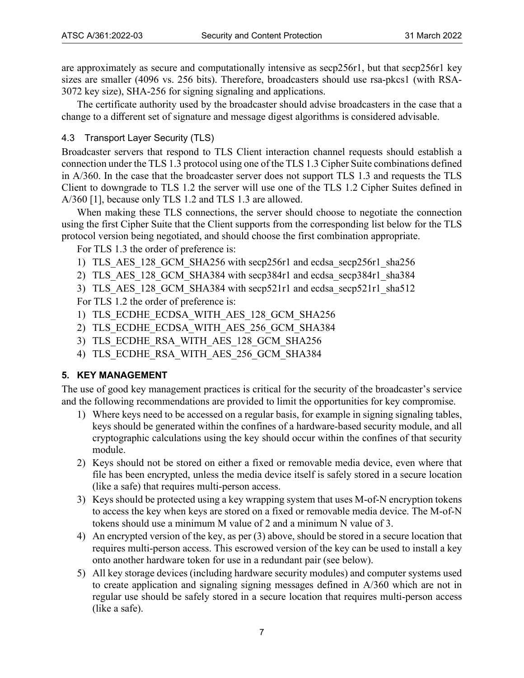are approximately as secure and computationally intensive as secp256r1, but that secp256r1 key sizes are smaller (4096 vs. 256 bits). Therefore, broadcasters should use rsa-pkcs1 (with RSA-3072 key size), SHA-256 for signing signaling and applications.

The certificate authority used by the broadcaster should advise broadcasters in the case that a change to a different set of signature and message digest algorithms is considered advisable.

# <span id="page-6-0"></span>4.3 Transport Layer Security (TLS)

Broadcaster servers that respond to TLS Client interaction channel requests should establish a connection under the TLS 1.3 protocol using one of the TLS 1.3 Cipher Suite combinations defined in A/360. In the case that the broadcaster server does not support TLS 1.3 and requests the TLS Client to downgrade to TLS 1.2 the server will use one of the TLS 1.2 Cipher Suites defined in A/360 [\[1\],](#page-3-6) because only TLS 1.2 and TLS 1.3 are allowed.

When making these TLS connections, the server should choose to negotiate the connection using the first Cipher Suite that the Client supports from the corresponding list below for the TLS protocol version being negotiated, and should choose the first combination appropriate.

For TLS 1.3 the order of preference is:

- 1) TLS\_AES\_128\_GCM\_SHA256 with secp256r1 and ecdsa\_secp256r1\_sha256
- 2) TLS AES 128 GCM SHA384 with secp384r1 and ecdsa\_secp384r1\_sha384
- 3) TLS AES 128 GCM SHA384 with secp521r1 and ecdsa\_secp521r1\_sha512

For TLS 1.2 the order of preference is:

- 1) TLS\_ECDHE\_ECDSA\_WITH\_AES\_128\_GCM\_SHA256
- 2) TLS\_ECDHE\_ECDSA\_WITH\_AES\_256\_GCM\_SHA384
- 3) TLS\_ECDHE\_RSA\_WITH\_AES\_128\_GCM\_SHA256
- 4) TLS ECDHE RSA WITH AES 256 GCM SHA384

# <span id="page-6-1"></span>**5. KEY MANAGEMENT**

The use of good key management practices is critical for the security of the broadcaster's service and the following recommendations are provided to limit the opportunities for key compromise.

- 1) Where keys need to be accessed on a regular basis, for example in signing signaling tables, keys should be generated within the confines of a hardware-based security module, and all cryptographic calculations using the key should occur within the confines of that security module.
- 2) Keys should not be stored on either a fixed or removable media device, even where that file has been encrypted, unless the media device itself is safely stored in a secure location (like a safe) that requires multi-person access.
- <span id="page-6-2"></span>3) Keys should be protected using a key wrapping system that uses M-of-N encryption tokens to access the key when keys are stored on a fixed or removable media device. The M-of-N tokens should use a minimum M value of 2 and a minimum N value of 3.
- 4) An encrypted version of the key, as per [\(3\) a](#page-6-2)bove, should be stored in a secure location that requires multi-person access. This escrowed version of the key can be used to install a key onto another hardware token for use in a redundant pair (see below).
- 5) All key storage devices (including hardware security modules) and computer systems used to create application and signaling signing messages defined in A/360 which are not in regular use should be safely stored in a secure location that requires multi-person access (like a safe).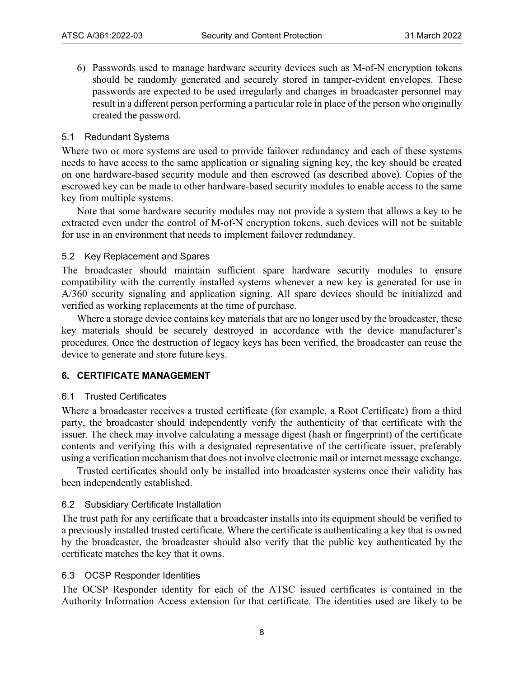6) Passwords used to manage hardware security devices such as M-of-N encryption tokens should be randomly generated and securely stored in tamper-evident envelopes. These passwords are expected to be used irregularly and changes in broadcaster personnel may result in a different person performing a particular role in place of the person who originally created the password.

#### <span id="page-7-0"></span>5.1 Redundant Systems

Where two or more systems are used to provide failover redundancy and each of these systems needs to have access to the same application or signaling signing key, the key should be created on one hardware-based security module and then escrowed (as described above). Copies of the escrowed key can be made to other hardware-based security modules to enable access to the same key from multiple systems.

Note that some hardware security modules may not provide a system that allows a key to be extracted even under the control of M-of-N encryption tokens, such devices will not be suitable for use in an environment that needs to implement failover redundancy.

#### <span id="page-7-1"></span>5.2 Key Replacement and Spares

The broadcaster should maintain sufficient spare hardware security modules to ensure compatibility with the currently installed systems whenever a new key is generated for use in A/360 security signaling and application signing. All spare devices should be initialized and verified as working replacements at the time of purchase.

Where a storage device contains key materials that are no longer used by the broadcaster, these key materials should be securely destroyed in accordance with the device manufacturer's procedures. Once the destruction of legacy keys has been verified, the broadcaster can reuse the device to generate and store future keys.

#### <span id="page-7-2"></span>**6. CERTIFICATE MANAGEMENT**

#### <span id="page-7-3"></span>6.1 Trusted Certificates

Where a broadcaster receives a trusted certificate (for example, a Root Certificate) from a third party, the broadcaster should independently verify the authenticity of that certificate with the issuer. The check may involve calculating a message digest (hash or fingerprint) of the certificate contents and verifying this with a designated representative of the certificate issuer, preferably using a verification mechanism that does not involve electronic mail or internet message exchange.

Trusted certificates should only be installed into broadcaster systems once their validity has been independently established.

#### <span id="page-7-4"></span>6.2 Subsidiary Certificate Installation

The trust path for any certificate that a broadcaster installs into its equipment should be verified to a previously installed trusted certificate. Where the certificate is authenticating a key that is owned by the broadcaster, the broadcaster should also verify that the public key authenticated by the certificate matches the key that it owns.

# <span id="page-7-5"></span>6.3 OCSP Responder Identities

The OCSP Responder identity for each of the ATSC issued certificates is contained in the Authority Information Access extension for that certificate. The identities used are likely to be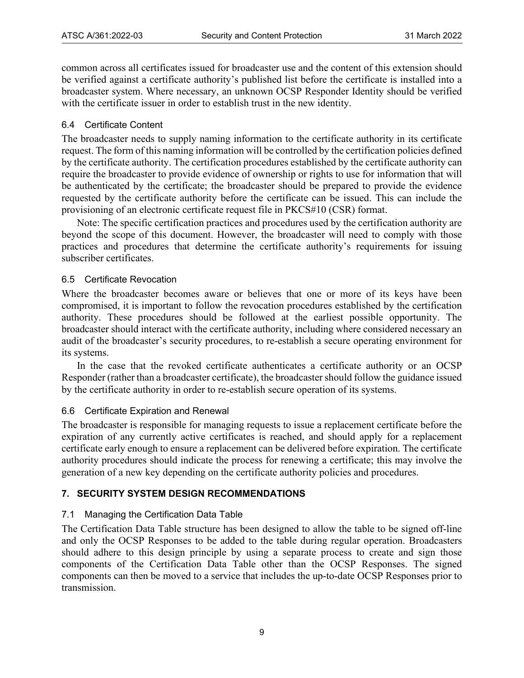common across all certificates issued for broadcaster use and the content of this extension should be verified against a certificate authority's published list before the certificate is installed into a broadcaster system. Where necessary, an unknown OCSP Responder Identity should be verified with the certificate issuer in order to establish trust in the new identity.

# <span id="page-8-0"></span>6.4 Certificate Content

The broadcaster needs to supply naming information to the certificate authority in its certificate request. The form of this naming information will be controlled by the certification policies defined by the certificate authority. The certification procedures established by the certificate authority can require the broadcaster to provide evidence of ownership or rights to use for information that will be authenticated by the certificate; the broadcaster should be prepared to provide the evidence requested by the certificate authority before the certificate can be issued. This can include the provisioning of an electronic certificate request file in PKCS#10 (CSR) format.

Note: The specific certification practices and procedures used by the certification authority are beyond the scope of this document. However, the broadcaster will need to comply with those practices and procedures that determine the certificate authority's requirements for issuing subscriber certificates.

# <span id="page-8-1"></span>6.5 Certificate Revocation

Where the broadcaster becomes aware or believes that one or more of its keys have been compromised, it is important to follow the revocation procedures established by the certification authority. These procedures should be followed at the earliest possible opportunity. The broadcaster should interact with the certificate authority, including where considered necessary an audit of the broadcaster's security procedures, to re-establish a secure operating environment for its systems.

In the case that the revoked certificate authenticates a certificate authority or an OCSP Responder (rather than a broadcaster certificate), the broadcaster should follow the guidance issued by the certificate authority in order to re-establish secure operation of its systems.

# <span id="page-8-2"></span>6.6 Certificate Expiration and Renewal

The broadcaster is responsible for managing requests to issue a replacement certificate before the expiration of any currently active certificates is reached, and should apply for a replacement certificate early enough to ensure a replacement can be delivered before expiration. The certificate authority procedures should indicate the process for renewing a certificate; this may involve the generation of a new key depending on the certificate authority policies and procedures.

# <span id="page-8-3"></span>**7. SECURITY SYSTEM DESIGN RECOMMENDATIONS**

# <span id="page-8-4"></span>7.1 Managing the Certification Data Table

The Certification Data Table structure has been designed to allow the table to be signed off-line and only the OCSP Responses to be added to the table during regular operation. Broadcasters should adhere to this design principle by using a separate process to create and sign those components of the Certification Data Table other than the OCSP Responses. The signed components can then be moved to a service that includes the up-to-date OCSP Responses prior to transmission.